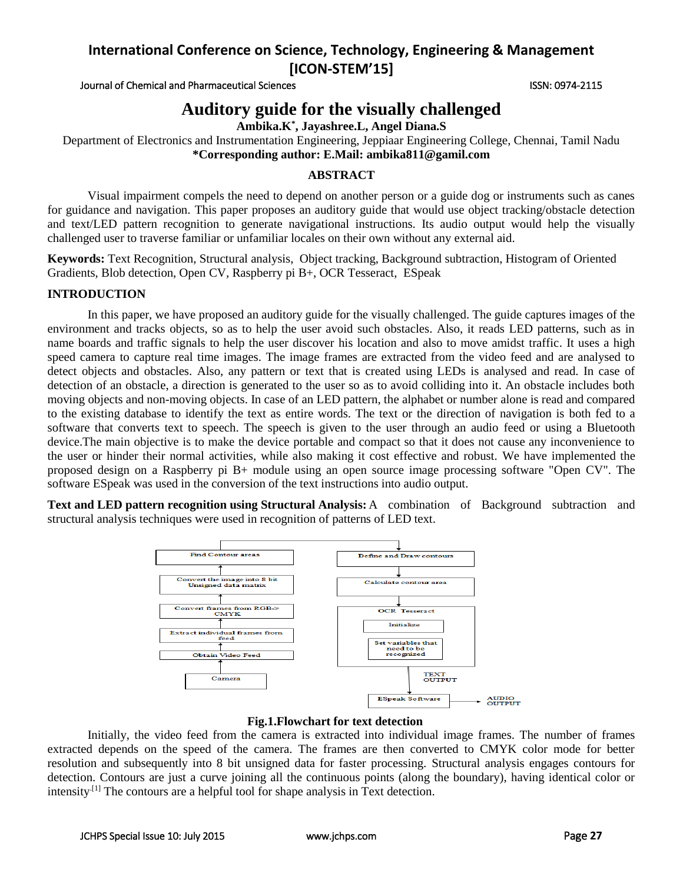Journal of Chemical and Pharmaceutical Sciences ISSN: 0974-2115

# **Auditory guide for the visually challenged**

**Ambika.K\* , Jayashree.L, Angel Diana.S**

Department of Electronics and Instrumentation Engineering, Jeppiaar Engineering College, Chennai, Tamil Nadu **\*Corresponding author: E.Mail: ambika811@gamil.com**

## **ABSTRACT**

Visual impairment compels the need to depend on another person or a guide dog or instruments such as canes for guidance and navigation. This paper proposes an auditory guide that would use object tracking/obstacle detection and text/LED pattern recognition to generate navigational instructions. Its audio output would help the visually challenged user to traverse familiar or unfamiliar locales on their own without any external aid.

**Keywords:** Text Recognition, Structural analysis, Object tracking, Background subtraction, Histogram of Oriented Gradients, Blob detection, Open CV, Raspberry pi B+, OCR Tesseract, ESpeak

# **INTRODUCTION**

In this paper, we have proposed an auditory guide for the visually challenged. The guide captures images of the environment and tracks objects, so as to help the user avoid such obstacles. Also, it reads LED patterns, such as in name boards and traffic signals to help the user discover his location and also to move amidst traffic. It uses a high speed camera to capture real time images. The image frames are extracted from the video feed and are analysed to detect objects and obstacles. Also, any pattern or text that is created using LEDs is analysed and read. In case of detection of an obstacle, a direction is generated to the user so as to avoid colliding into it. An obstacle includes both moving objects and non-moving objects. In case of an LED pattern, the alphabet or number alone is read and compared to the existing database to identify the text as entire words. The text or the direction of navigation is both fed to a software that converts text to speech. The speech is given to the user through an audio feed or using a Bluetooth device.The main objective is to make the device portable and compact so that it does not cause any inconvenience to the user or hinder their normal activities, while also making it cost effective and robust. We have implemented the proposed design on a Raspberry pi B+ module using an open source image processing software "Open CV". The software ESpeak was used in the conversion of the text instructions into audio output.

**Text and LED pattern recognition using Structural Analysis:** A combination of Background subtraction and structural analysis techniques were used in recognition of patterns of LED text.



### **Fig.1.Flowchart for text detection**

Initially, the video feed from the camera is extracted into individual image frames. The number of frames extracted depends on the speed of the camera. The frames are then converted to CMYK color mode for better resolution and subsequently into 8 bit unsigned data for faster processing. Structural analysis engages contours for detection. Contours are just a curve joining all the continuous points (along the boundary), having identical color or intensity<sup>[1]</sup> The contours are a helpful tool for shape analysis in Text detection.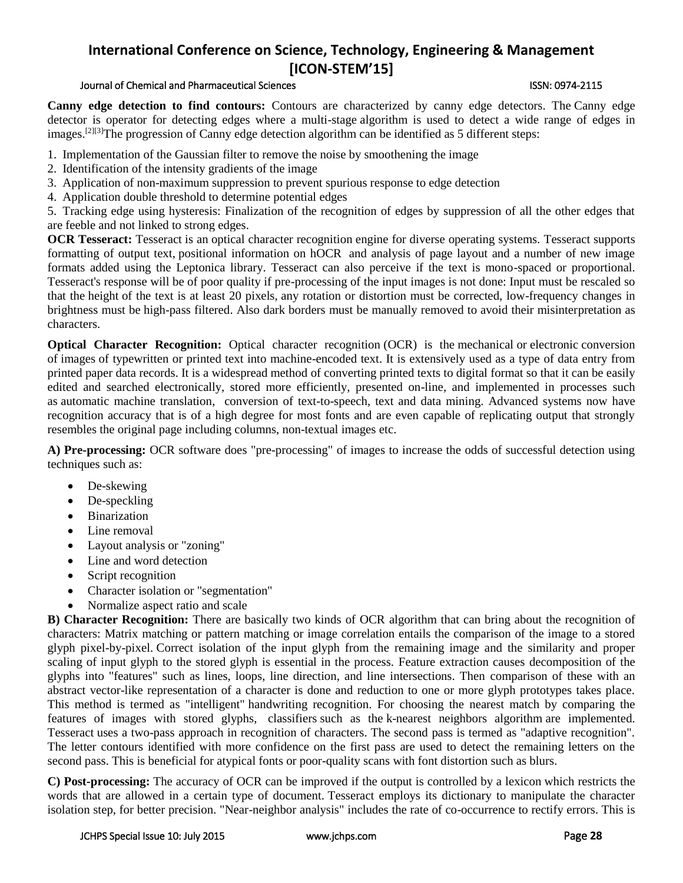## Journal of Chemical and Pharmaceutical Sciences ISSN: 0974-2115

**Canny edge detection to find contours:** Contours are characterized by canny edge detectors. The Canny edge detector is operator for detecting edges where a multi-stage [algorithm](http://en.wikipedia.org/wiki/Algorithm) is used to detect a wide range of edges in images.<sup>[2][3]</sup>The progression of Canny edge detection algorithm can be identified as 5 different steps:

- 1. Implementation of the Gaussian filter to remove the noise by smoothening the image
- 2. Identification of the intensity gradients of the image
- 3. Application of non-maximum suppression to prevent spurious response to edge detection
- 4. Application double threshold to determine potential edges

5. Tracking edge using hysteresis: Finalization of the recognition of edges by suppression of all the other edges that are feeble and not linked to strong edges.

**OCR Tesseract:** Tesseract is an [optical character recognition](http://en.wikipedia.org/wiki/Optical_character_recognition) engine for diverse operating systems. Tesseract supports formatting of output text, positional information on [hOCR](http://en.wikipedia.org/wiki/HOCR) and analysis of page layout and a number of new image formats added using the Leptonica library. Tesseract can also perceive if the text is mono-spaced or proportional. Tesseract's response will be of poor quality if pre-processing of the input images is not done: Input must be rescaled so that the [height](http://en.wikipedia.org/wiki/X-height) of the text is at least 20 pixels, any rotation or distortion must be corrected, low-frequency changes in brightness must be [high-pass filtered.](http://en.wikipedia.org/wiki/High-pass_filter) Also dark borders must be manually removed to avoid their misinterpretation as characters.

**Optical Character Recognition:** Optical character recognition (OCR) is the [mechanical](http://en.wikipedia.org/wiki/Machine) or [electronic](http://en.wikipedia.org/wiki/Electronics) conversion of [images](http://en.wikipedia.org/wiki/Image) of typewritten or printed text into machine-encoded text. It is extensively used as a type of data entry from printed paper data records. It is a widespread method of converting printed texts to digital format so that it can be easily edited and searched electronically, stored more efficiently, presented on-line, and implemented in processes such as [automatic machine translation,](http://en.wikipedia.org/wiki/Machine_translation) conversion of [text-to-speech,](http://en.wikipedia.org/wiki/Text-to-speech) text and data [mining.](http://en.wikipedia.org/wiki/Text_mining) Advanced systems now have recognition accuracy that is of a high degree for most fonts and are even capable of replicating output that strongly resembles the original page including columns, non-textual images etc.

**A) Pre-processing:** OCR software does "pre-processing" of images to increase the odds of successful detection using techniques such as:

- De-skewing
- [De-speckli](http://en.wikipedia.org/wiki/Despeckle)ng
- Binarization
- Line removal
- [Layout analysis](http://en.wikipedia.org/wiki/Document_Layout_Analysis) or "zoning"
- Line and word detection
- Script recognition
- Character isolation or "segmentation"
- Normalize [aspect ratio](http://en.wikipedia.org/wiki/Aspect_ratio) and [scale](http://en.wikipedia.org/wiki/Scale_(ratio))

**B) Character Recognition:** There are basically two kinds of OCR algorithm that can bring about the recognition of characters: Matrix matching or pattern matching or image correlation entails the comparison of the image to a stored glyph pixel-by-pixel. Correct isolation of the input glyph from the remaining image and the similarity and proper scaling of input glyph to the stored glyph is essential in the process. Feature extraction causes decomposition of the glyphs into "features" such as lines, loops, line direction, and line intersections. Then comparison of these with an abstract vector-like representation of a character is done and reduction to one or more glyph prototypes takes place. This method is termed as "intelligent" [handwriting recognition.](http://en.wikipedia.org/wiki/Handwriting_recognition) For choosing the nearest match by comparing the features of images with stored glyphs, [classifiers](http://en.wikipedia.org/wiki/Nearest_neighbour_classifiers) such as the [k-nearest neighbors algorithm](http://en.wikipedia.org/wiki/K-nearest_neighbors_algorithm) are implemented. [Tesseract](http://en.wikipedia.org/wiki/Tesseract_(software)) uses a two-pass approach in recognition of characters. The second pass is termed as "adaptive recognition". The letter contours identified with more confidence on the first pass are used to detect the remaining letters on the second pass. This is beneficial for atypical fonts or poor-quality scans with font distortion such as blurs.

**C) Post-processing:** The accuracy of OCR can be improved if the output is controlled by a [lexicon](http://en.wikipedia.org/wiki/Lexicon) which restricts the words that are allowed in a certain type of document. Tesseract employs its dictionary to manipulate the character isolation step, for better precision. "Near-neighbor analysis" includes the rate of co-occurrence to rectify errors. This is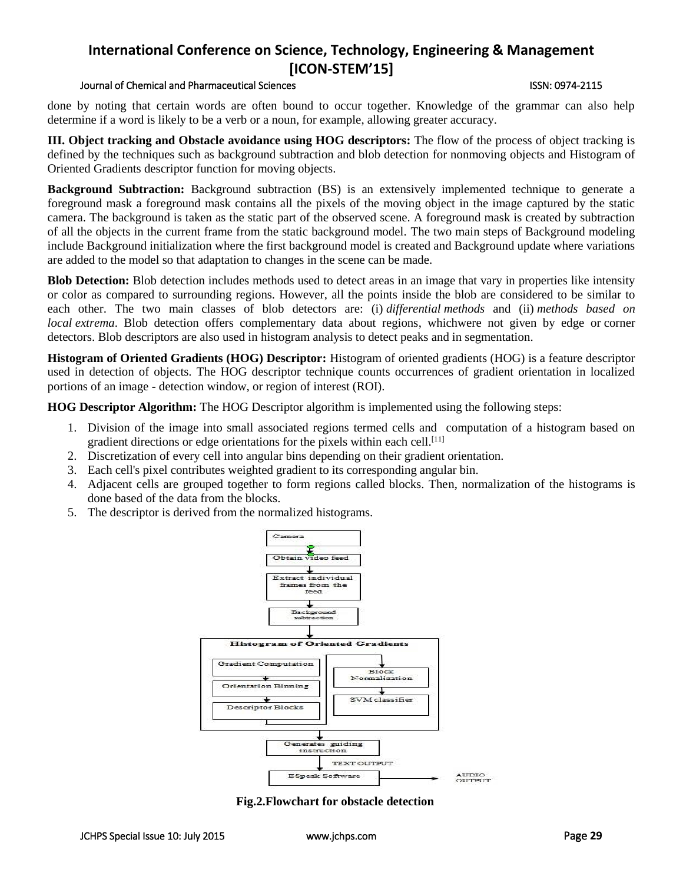## Journal of Chemical and Pharmaceutical Sciences ISSN: 0974-2115

done by noting that certain words are often bound to occur together. Knowledge of the grammar can also help determine if a word is likely to be a verb or a noun, for example, allowing greater accuracy.

**III. Object tracking and Obstacle avoidance using HOG descriptors:** The flow of the process of object tracking is defined by the techniques such as background subtraction and blob detection for nonmoving objects and Histogram of Oriented Gradients descriptor function for moving objects.

**Background Subtraction:** Background subtraction (BS) is an extensively implemented technique to generate a foreground mask a foreground mask contains all the pixels of the moving object in the image captured by the static camera. The background is taken as the static part of the observed scene. A foreground mask is created by subtraction of all the objects in the current frame from the static background model. The two main steps of Background modeling include Background initialization where the first background model is created and Background update where variations are added to the model so that adaptation to changes in the scene can be made.

**Blob Detection:** Blob detection includes methods used to detect areas in an [image](http://en.wikipedia.org/wiki/Digital_image) that vary in properties like intensity or color as compared to surrounding regions. However, all the points inside the blob are considered to be similar to each other. The two main classes of blob detectors are: (i) *[differential](http://en.wikipedia.org/wiki/Differential_calculus) methods* and (ii) *methods based on local [extrema](http://en.wikipedia.org/wiki/Maxima_and_minima)*. Blob detection offers complementary data about regions, whichwere not given by edge or [corner](http://en.wikipedia.org/wiki/Corner_detection)  [detectors.](http://en.wikipedia.org/wiki/Corner_detection) Blob descriptors are also used in [histogram](http://en.wikipedia.org/wiki/Image_histogram) analysis to detect peaks and in segmentation.

**Histogram of Oriented Gradients (HOG) Descriptor:** Histogram of oriented gradients (HOG) is a feature descriptor used in detection of objects. The HOG descriptor technique counts occurrences of gradient orientation in localized portions of an image - detection window, or region of interest (ROI).

**HOG Descriptor Algorithm:** The HOG Descriptor algorithm is implemented using the following steps:

- 1. Division of the image into small associated regions termed cells and computation of a histogram based on gradient directions or edge orientations for the pixels within each cell.<sup>[11]</sup>
- 2. Discretization of every cell into angular bins depending on their gradient orientation.
- 3. Each cell's pixel contributes weighted gradient to its corresponding angular bin.
- 4. Adjacent cells are grouped together to form regions called blocks. Then, normalization of the histograms is done based of the data from the blocks.
- 5. The descriptor is derived from the normalized histograms.



**Fig.2.Flowchart for obstacle detection**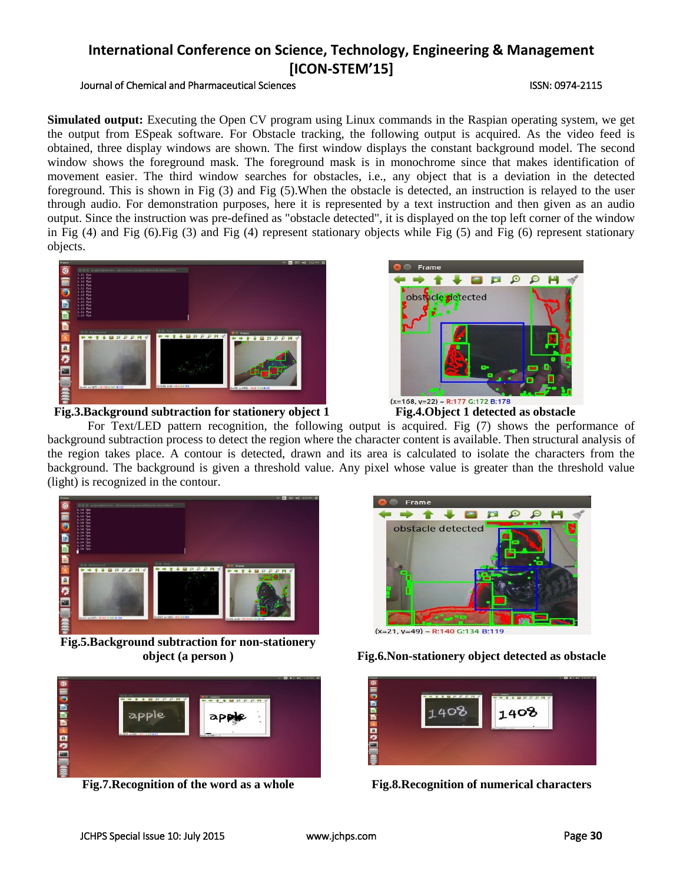# Journal of Chemical and Pharmaceutical Sciences **ISSN: 0974-2115** ISSN: 0974-2115

**Simulated output:** Executing the Open CV program using Linux commands in the Raspian operating system, we get the output from ESpeak software. For Obstacle tracking, the following output is acquired. As the video feed is obtained, three display windows are shown. The first window displays the constant background model. The second window shows the foreground mask. The foreground mask is in monochrome since that makes identification of movement easier. The third window searches for obstacles, i.e., any object that is a deviation in the detected foreground. This is shown in Fig (3) and Fig (5).When the obstacle is detected, an instruction is relayed to the user through audio. For demonstration purposes, here it is represented by a text instruction and then given as an audio output. Since the instruction was pre-defined as "obstacle detected", it is displayed on the top left corner of the window in Fig (4) and Fig (6).Fig (3) and Fig (4) represent stationary objects while Fig (5) and Fig (6) represent stationary objects.



## **Fig.3.Background subtraction for stationery object 1 Fig.4.Object 1 detected as obstacle**



For Text/LED pattern recognition, the following output is acquired. Fig (7) shows the performance of background subtraction process to detect the region where the character content is available. Then structural analysis of the region takes place. A contour is detected, drawn and its area is calculated to isolate the characters from the background. The background is given a threshold value. Any pixel whose value is greater than the threshold value (light) is recognized in the contour.



**Fig.5.Background subtraction for non-stationery** 





 $(x=21, y=49)$  ~ R:140 G:134 B:119

**object (a person ) Fig.6.Non-stationery object detected as obstacle**

| <b><i><u>analisist</u></i></b> | <b>WPPPH</b> | <b>Different</b>    | <b>CE NO 40 SOUPAL OF</b><br>- |
|--------------------------------|--------------|---------------------|--------------------------------|
| ◎言った面面面面内面の言葉                  |              | 1408                |                                |
|                                |              | 06x17-9x215 = L.210 |                                |
|                                |              |                     |                                |